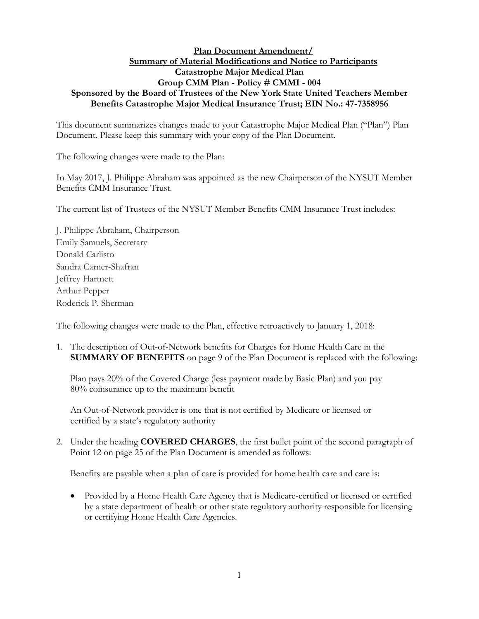## **Plan Document Amendment/ Summary of Material Modifications and Notice to Participants Catastrophe Major Medical Plan Group CMM Plan - Policy # CMMI - 004 Sponsored by the Board of Trustees of the New York State United Teachers Member Benefits Catastrophe Major Medical Insurance Trust; EIN No.: 47-7358956**

This document summarizes changes made to your Catastrophe Major Medical Plan ("Plan") Plan Document. Please keep this summary with your copy of the Plan Document.

The following changes were made to the Plan:

In May 2017, J. Philippe Abraham was appointed as the new Chairperson of the NYSUT Member Benefits CMM Insurance Trust.

The current list of Trustees of the NYSUT Member Benefits CMM Insurance Trust includes:

J. Philippe Abraham, Chairperson Emily Samuels, Secretary Donald Carlisto Sandra Carner-Shafran Jeffrey Hartnett Arthur Pepper Roderick P. Sherman

The following changes were made to the Plan, effective retroactively to January 1, 2018:

1. The description of Out-of-Network benefits for Charges for Home Health Care in the **SUMMARY OF BENEFITS** on page 9 of the Plan Document is replaced with the following:

Plan pays 20% of the Covered Charge (less payment made by Basic Plan) and you pay 80% coinsurance up to the maximum benefit

An Out-of-Network provider is one that is not certified by Medicare or licensed or certified by a state's regulatory authority

2. Under the heading **COVERED CHARGES**, the first bullet point of the second paragraph of Point 12 on page 25 of the Plan Document is amended as follows:

Benefits are payable when a plan of care is provided for home health care and care is:

 Provided by a Home Health Care Agency that is Medicare-certified or licensed or certified by a state department of health or other state regulatory authority responsible for licensing or certifying Home Health Care Agencies.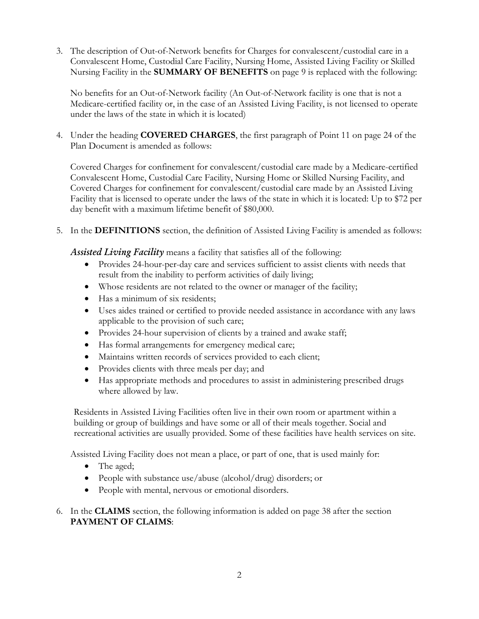3. The description of Out-of-Network benefits for Charges for convalescent/custodial care in a Convalescent Home, Custodial Care Facility, Nursing Home, Assisted Living Facility or Skilled Nursing Facility in the **SUMMARY OF BENEFITS** on page 9 is replaced with the following:

No benefits for an Out-of-Network facility (An Out-of-Network facility is one that is not a Medicare-certified facility or, in the case of an Assisted Living Facility, is not licensed to operate under the laws of the state in which it is located)

4. Under the heading **COVERED CHARGES**, the first paragraph of Point 11 on page 24 of the Plan Document is amended as follows:

Covered Charges for confinement for convalescent/custodial care made by a Medicare-certified Convalescent Home, Custodial Care Facility, Nursing Home or Skilled Nursing Facility, and Covered Charges for confinement for convalescent/custodial care made by an Assisted Living Facility that is licensed to operate under the laws of the state in which it is located: Up to \$72 per day benefit with a maximum lifetime benefit of \$80,000.

5. In the **DEFINITIONS** section, the definition of Assisted Living Facility is amended as follows:

*Assisted Living Facility* means a facility that satisfies all of the following:

- Provides 24-hour-per-day care and services sufficient to assist clients with needs that result from the inability to perform activities of daily living;
- Whose residents are not related to the owner or manager of the facility;
- Has a minimum of six residents:
- Uses aides trained or certified to provide needed assistance in accordance with any laws applicable to the provision of such care;
- Provides 24-hour supervision of clients by a trained and awake staff;
- Has formal arrangements for emergency medical care;
- Maintains written records of services provided to each client;
- Provides clients with three meals per day; and
- Has appropriate methods and procedures to assist in administering prescribed drugs where allowed by law.

Residents in Assisted Living Facilities often live in their own room or apartment within a building or group of buildings and have some or all of their meals together. Social and recreational activities are usually provided. Some of these facilities have health services on site.

Assisted Living Facility does not mean a place, or part of one, that is used mainly for:

- The aged;
- People with substance use/abuse (alcohol/drug) disorders; or
- People with mental, nervous or emotional disorders.

6. In the **CLAIMS** section, the following information is added on page 38 after the section **PAYMENT OF CLAIMS**: